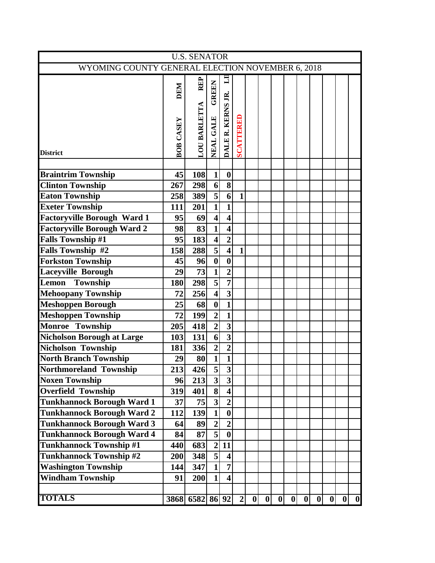| <b>U.S. SENATOR</b>                              |           |                    |                                      |                         |                  |   |                  |   |   |          |   |   |          |                  |
|--------------------------------------------------|-----------|--------------------|--------------------------------------|-------------------------|------------------|---|------------------|---|---|----------|---|---|----------|------------------|
| WYOMING COUNTY GENERAL ELECTION NOVEMBER 6, 2018 |           |                    |                                      |                         |                  |   |                  |   |   |          |   |   |          |                  |
|                                                  |           | REP                |                                      | $\Xi$                   |                  |   |                  |   |   |          |   |   |          |                  |
|                                                  | DEM       |                    | <b>GREEN</b>                         |                         |                  |   |                  |   |   |          |   |   |          |                  |
|                                                  |           |                    |                                      |                         |                  |   |                  |   |   |          |   |   |          |                  |
|                                                  |           |                    |                                      |                         |                  |   |                  |   |   |          |   |   |          |                  |
|                                                  |           |                    |                                      |                         |                  |   |                  |   |   |          |   |   |          |                  |
|                                                  |           |                    |                                      |                         |                  |   |                  |   |   |          |   |   |          |                  |
|                                                  | BOB CASEY | <b>LOUBARLETTA</b> | NEAL GALE                            | DALE R. KERNS JR.       | <b>SCATTERED</b> |   |                  |   |   |          |   |   |          |                  |
| <b>District</b>                                  |           |                    |                                      |                         |                  |   |                  |   |   |          |   |   |          |                  |
|                                                  |           |                    |                                      |                         |                  |   |                  |   |   |          |   |   |          |                  |
| <b>Braintrim Township</b>                        | 45        | 108                | $\mathbf{1}$                         | $\boldsymbol{0}$        |                  |   |                  |   |   |          |   |   |          |                  |
| <b>Clinton Township</b>                          | 267       | 298                | $6 \mid$                             | $\overline{\mathbf{8}}$ |                  |   |                  |   |   |          |   |   |          |                  |
| <b>Eaton Township</b>                            | 258       | 389                | $\overline{5}$                       | $\overline{6}$          | $\mathbf{1}$     |   |                  |   |   |          |   |   |          |                  |
| <b>Exeter Township</b>                           | 111       | 201                | $\mathbf{1}$                         | $\mathbf{1}$            |                  |   |                  |   |   |          |   |   |          |                  |
| <b>Factoryville Borough Ward 1</b>               | 95        | 69                 | $\overline{\mathbf{4}}$              | $\overline{\mathbf{4}}$ |                  |   |                  |   |   |          |   |   |          |                  |
| <b>Factoryville Borough Ward 2</b>               | 98        | 83                 | $\mathbf{1}$                         | $\overline{\mathbf{4}}$ |                  |   |                  |   |   |          |   |   |          |                  |
| <b>Falls Township #1</b>                         | 95        | 183                | $\overline{\mathbf{4}}$              | $\overline{2}$          |                  |   |                  |   |   |          |   |   |          |                  |
| <b>Falls Township #2</b>                         | 158       | 288                | $\overline{\mathbf{5}}$              | $\overline{\mathbf{4}}$ | $\mathbf{1}$     |   |                  |   |   |          |   |   |          |                  |
| <b>Forkston Township</b>                         | 45        | 96                 | $\boldsymbol{0}$                     | $\boldsymbol{0}$        |                  |   |                  |   |   |          |   |   |          |                  |
| <b>Laceyville Borough</b>                        | 29        | 73                 | $\overline{\mathbf{1}}$              | $\overline{2}$          |                  |   |                  |   |   |          |   |   |          |                  |
| Township<br>Lemon                                | 180       | 298                | $\overline{\overline{\overline{5}}}$ | $\overline{7}$          |                  |   |                  |   |   |          |   |   |          |                  |
| <b>Mehoopany Township</b>                        | 72        | 256                | $\overline{\mathbf{4}}$              | $\overline{\mathbf{3}}$ |                  |   |                  |   |   |          |   |   |          |                  |
| <b>Meshoppen Borough</b>                         | 25        | 68                 | $\bf{0}$                             | $\overline{1}$          |                  |   |                  |   |   |          |   |   |          |                  |
| <b>Meshoppen Township</b>                        | 72        | 199                | $\overline{2}$                       | $\overline{\mathbf{1}}$ |                  |   |                  |   |   |          |   |   |          |                  |
| Monroe Township                                  | 205       | 418                | $\overline{2}$                       | $\overline{3}$          |                  |   |                  |   |   |          |   |   |          |                  |
| <b>Nicholson Borough at Large</b>                | 103       | 131                | $\boldsymbol{6}$                     | $\overline{\mathbf{3}}$ |                  |   |                  |   |   |          |   |   |          |                  |
| Nicholson Township                               | 181       | 336                | $\overline{2}$                       | $\overline{2}$          |                  |   |                  |   |   |          |   |   |          |                  |
| North Branch Township                            | 29        | 80                 | $\mathbf{1}$                         | $\mathbf{1}$            |                  |   |                  |   |   |          |   |   |          |                  |
| Northmoreland Township                           | 213       | 426                | $\overline{5}$                       | $\overline{\mathbf{3}}$ |                  |   |                  |   |   |          |   |   |          |                  |
| <b>Noxen Township</b>                            | 96        | 213                | $\overline{\mathbf{3}}$              | $\overline{\mathbf{3}}$ |                  |   |                  |   |   |          |   |   |          |                  |
| <b>Overfield Township</b>                        | 319       | 401                | $\overline{\mathbf{8}}$              | $\overline{\mathbf{4}}$ |                  |   |                  |   |   |          |   |   |          |                  |
| <b>Tunkhannock Borough Ward 1</b>                | 37        | 75                 | $\overline{\mathbf{3}}$              | $\overline{2}$          |                  |   |                  |   |   |          |   |   |          |                  |
| <b>Tunkhannock Borough Ward 2</b>                | 112       | 139                | $\mathbf{1}$                         | $\boldsymbol{0}$        |                  |   |                  |   |   |          |   |   |          |                  |
| <b>Tunkhannock Borough Ward 3</b>                | 64        | 89                 | $\overline{2}$                       | $\overline{2}$          |                  |   |                  |   |   |          |   |   |          |                  |
| <b>Tunkhannock Borough Ward 4</b>                | 84        | 87                 | $\overline{5}$                       | $\boldsymbol{0}$        |                  |   |                  |   |   |          |   |   |          |                  |
| Tunkhannock Township #1                          | 440       | 683                | $\overline{2}$                       | 11                      |                  |   |                  |   |   |          |   |   |          |                  |
| <b>Tunkhannock Township #2</b>                   | 200       | 348                | $\overline{5}$                       | $\overline{\mathbf{4}}$ |                  |   |                  |   |   |          |   |   |          |                  |
| <b>Washington Township</b>                       | 144       | 347                | $\mathbf{1}$                         | $\overline{7}$          |                  |   |                  |   |   |          |   |   |          |                  |
| <b>Windham Township</b>                          | 91        | 200                | $\mathbf{1}$                         | $\overline{\mathbf{4}}$ |                  |   |                  |   |   |          |   |   |          |                  |
|                                                  |           |                    |                                      |                         |                  |   |                  |   |   |          |   |   |          |                  |
| <b>TOTALS</b>                                    | 3868      | 6582 86 92         |                                      |                         | $\mathbf{2}$     | 0 | $\boldsymbol{0}$ | 0 | 0 | $\bf{0}$ | 0 | 0 | $\bf{0}$ | $\boldsymbol{0}$ |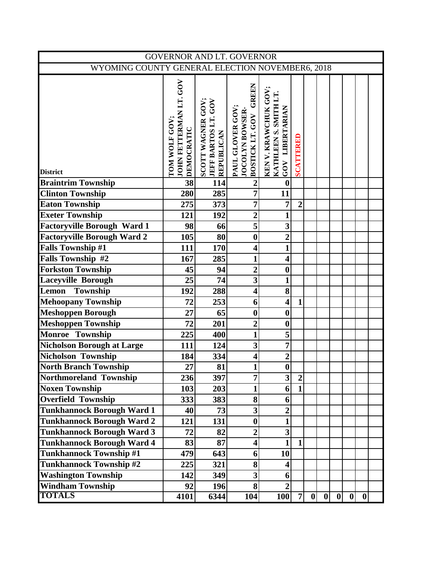| GOVERNOR AND LT. GOVERNOR                       |                                                       |                                                               |                                                                |                                                                |                |                  |   |   |   |   |  |  |
|-------------------------------------------------|-------------------------------------------------------|---------------------------------------------------------------|----------------------------------------------------------------|----------------------------------------------------------------|----------------|------------------|---|---|---|---|--|--|
| WYOMING COUNTY GENERAL ELECTION NOVEMBER6, 2018 |                                                       |                                                               |                                                                |                                                                |                |                  |   |   |   |   |  |  |
| <b>District</b>                                 | JOHN FETTERMAN LT. GOV<br>TOM WOLF GOV:<br>DEMOCRATIC | SCOTT WAGNER GOV;<br>JEFF BARTOS LT. GOV<br><b>REPUBLICAN</b> | GREEN<br>PAUL GLOVER GOV<br>JOCOLYN BOWSER-<br>BOSTICK LT. GOV | KEN V. KRAWCHUK GOV<br>KATHLEEN S. SMITH LT<br>GOV LIBERTARIAN | SCATTERED      |                  |   |   |   |   |  |  |
| <b>Braintrim Township</b>                       | $\overline{38}$                                       | 114                                                           | $\overline{2}$                                                 | $\boldsymbol{0}$                                               |                |                  |   |   |   |   |  |  |
| <b>Clinton Township</b>                         | 280                                                   | 285                                                           | 7                                                              | 11                                                             |                |                  |   |   |   |   |  |  |
| <b>Eaton Township</b>                           | 275                                                   | 373                                                           | $\overline{7}$                                                 | $\overline{7}$                                                 | $\overline{2}$ |                  |   |   |   |   |  |  |
| <b>Exeter Township</b>                          | 121                                                   | 192                                                           | $\overline{2}$                                                 | $\mathbf{1}$                                                   |                |                  |   |   |   |   |  |  |
| <b>Factoryville Borough Ward 1</b>              | 98                                                    | 66                                                            | 5                                                              | $\overline{\mathbf{3}}$                                        |                |                  |   |   |   |   |  |  |
| <b>Factoryville Borough Ward 2</b>              | 105                                                   | 80                                                            | $\boldsymbol{0}$                                               | $\overline{2}$                                                 |                |                  |   |   |   |   |  |  |
| <b>Falls Township #1</b>                        | 111                                                   | 170                                                           | $\overline{\mathbf{4}}$                                        | $\mathbf{1}$                                                   |                |                  |   |   |   |   |  |  |
| <b>Falls Township #2</b>                        | 167                                                   | 285                                                           | 1                                                              | $\overline{\mathbf{4}}$                                        |                |                  |   |   |   |   |  |  |
| <b>Forkston Township</b>                        | 45                                                    | 94                                                            | $\overline{2}$                                                 | $\boldsymbol{0}$                                               |                |                  |   |   |   |   |  |  |
| <b>Laceyville Borough</b>                       | 25                                                    | 74                                                            | $\overline{\mathbf{3}}$                                        | $\mathbf{1}$                                                   |                |                  |   |   |   |   |  |  |
| <b>Township</b><br>Lemon                        | 192                                                   | 288                                                           | $\overline{\mathbf{4}}$                                        | 8                                                              |                |                  |   |   |   |   |  |  |
| <b>Mehoopany Township</b>                       | 72                                                    | 253                                                           | 6                                                              | $\overline{\mathbf{4}}$                                        | $\mathbf{1}$   |                  |   |   |   |   |  |  |
| <b>Meshoppen Borough</b>                        | 27                                                    | 65                                                            | $\boldsymbol{0}$                                               | $\boldsymbol{0}$                                               |                |                  |   |   |   |   |  |  |
| <b>Meshoppen Township</b>                       | 72                                                    | 201                                                           | $\overline{2}$                                                 | $\boldsymbol{0}$                                               |                |                  |   |   |   |   |  |  |
| <b>Monroe Township</b>                          | 225                                                   | 400                                                           | 1                                                              | 5                                                              |                |                  |   |   |   |   |  |  |
| <b>Nicholson Borough at Large</b>               | 111                                                   | 124                                                           | 3                                                              | $\overline{7}$                                                 |                |                  |   |   |   |   |  |  |
| Nicholson Township                              | 184                                                   | 334                                                           | $\overline{\mathbf{4}}$                                        | $\overline{2}$                                                 |                |                  |   |   |   |   |  |  |
| <b>North Branch Township</b>                    | 27                                                    | 81                                                            | $\blacksquare$                                                 | $\bf{0}$                                                       |                |                  |   |   |   |   |  |  |
| Northmoreland Township                          | 236                                                   | 397                                                           | 7                                                              | $\overline{\mathbf{3}}$                                        | $\overline{2}$ |                  |   |   |   |   |  |  |
| <b>Noxen Township</b>                           | 103                                                   | 203                                                           | $\mathbf{1}$                                                   | 6                                                              | $\mathbf{1}$   |                  |   |   |   |   |  |  |
| <b>Overfield Township</b>                       | 333                                                   | 383                                                           | 8                                                              | 6                                                              |                |                  |   |   |   |   |  |  |
| <b>Tunkhannock Borough Ward 1</b>               | 40                                                    | 73                                                            | $\overline{\mathbf{3}}$                                        | $\boldsymbol{2}$                                               |                |                  |   |   |   |   |  |  |
| <b>Tunkhannock Borough Ward 2</b>               | 121                                                   | 131                                                           | $\boldsymbol{0}$                                               | $\mathbf{1}$                                                   |                |                  |   |   |   |   |  |  |
| <b>Tunkhannock Borough Ward 3</b>               | 72                                                    | 82                                                            | $\overline{2}$                                                 | 3                                                              |                |                  |   |   |   |   |  |  |
| <b>Tunkhannock Borough Ward 4</b>               | 83                                                    | 87                                                            | 4                                                              | $\mathbf{1}$                                                   | $\mathbf{1}$   |                  |   |   |   |   |  |  |
| <b>Tunkhannock Township #1</b>                  | 479                                                   | 643                                                           | 6                                                              | 10                                                             |                |                  |   |   |   |   |  |  |
| <b>Tunkhannock Township #2</b>                  | 225                                                   | 321                                                           | 8                                                              | 4                                                              |                |                  |   |   |   |   |  |  |
| <b>Washington Township</b>                      | 142                                                   | 349                                                           | $\overline{\mathbf{3}}$                                        | 6                                                              |                |                  |   |   |   |   |  |  |
| <b>Windham Township</b>                         | 92                                                    | 196                                                           | $\bf{8}$                                                       | $\overline{2}$                                                 |                |                  |   |   |   |   |  |  |
| <b>TOTALS</b>                                   | 4101                                                  | 6344                                                          | 104                                                            | <b>100</b>                                                     | $\overline{7}$ | $\boldsymbol{0}$ | 0 | 0 | 0 | 0 |  |  |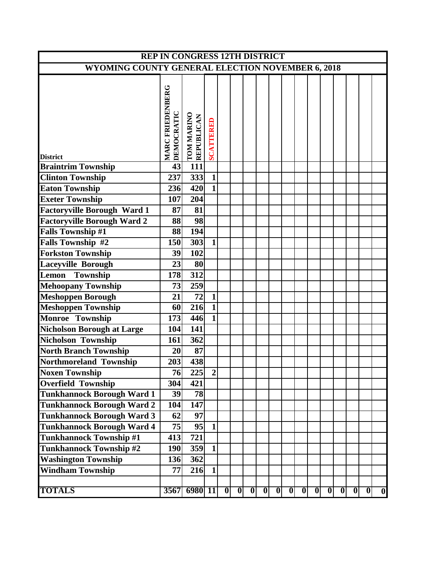| <b>REP IN CONGRESS 12TH DISTRICT</b>             |                                       |                  |                         |   |   |                         |                         |   |   |   |   |   |                |                |   |                  |
|--------------------------------------------------|---------------------------------------|------------------|-------------------------|---|---|-------------------------|-------------------------|---|---|---|---|---|----------------|----------------|---|------------------|
| WYOMING COUNTY GENERAL ELECTION NOVEMBER 6, 2018 |                                       |                  |                         |   |   |                         |                         |   |   |   |   |   |                |                |   |                  |
|                                                  |                                       |                  |                         |   |   |                         |                         |   |   |   |   |   |                |                |   |                  |
|                                                  | <b>MARC FRIEDENBERG</b><br>DEMOCRATIC | TOM MARINO       | <b>SCATTERED</b>        |   |   |                         |                         |   |   |   |   |   |                |                |   |                  |
|                                                  |                                       |                  |                         |   |   |                         |                         |   |   |   |   |   |                |                |   |                  |
| <b>District</b>                                  |                                       |                  |                         |   |   |                         |                         |   |   |   |   |   |                |                |   |                  |
| <b>Braintrim Township</b>                        | 43                                    | $\overline{111}$ |                         |   |   |                         |                         |   |   |   |   |   |                |                |   |                  |
| <b>Clinton Township</b>                          | 237                                   | 333              | $\mathbf{1}$            |   |   |                         |                         |   |   |   |   |   |                |                |   |                  |
| <b>Eaton Township</b>                            | 236                                   | 420              | $\overline{\mathbf{1}}$ |   |   |                         |                         |   |   |   |   |   |                |                |   |                  |
| <b>Exeter Township</b>                           | 107                                   | 204              |                         |   |   |                         |                         |   |   |   |   |   |                |                |   |                  |
| <b>Factoryville Borough Ward 1</b>               | 87                                    | 81               |                         |   |   |                         |                         |   |   |   |   |   |                |                |   |                  |
| <b>Factoryville Borough Ward 2</b>               | 88                                    | 98               |                         |   |   |                         |                         |   |   |   |   |   |                |                |   |                  |
| <b>Falls Township #1</b>                         | 88                                    | 194              |                         |   |   |                         |                         |   |   |   |   |   |                |                |   |                  |
| <b>Falls Township #2</b>                         | 150                                   | 303              | $\mathbf{1}$            |   |   |                         |                         |   |   |   |   |   |                |                |   |                  |
| <b>Forkston Township</b>                         | 39                                    | 102              |                         |   |   |                         |                         |   |   |   |   |   |                |                |   |                  |
| <b>Laceyville Borough</b>                        | 23                                    | 80               |                         |   |   |                         |                         |   |   |   |   |   |                |                |   |                  |
| Lemon<br>Township                                | 178                                   | 312              |                         |   |   |                         |                         |   |   |   |   |   |                |                |   |                  |
| <b>Mehoopany Township</b>                        | 73                                    | 259              |                         |   |   |                         |                         |   |   |   |   |   |                |                |   |                  |
| <b>Meshoppen Borough</b>                         | 21                                    | 72               | $\mathbf{1}$            |   |   |                         |                         |   |   |   |   |   |                |                |   |                  |
| <b>Meshoppen Township</b>                        | 60                                    | 216              | $\overline{\mathbf{1}}$ |   |   |                         |                         |   |   |   |   |   |                |                |   |                  |
| Monroe Township                                  | 173                                   | 446              | $\mathbf{1}$            |   |   |                         |                         |   |   |   |   |   |                |                |   |                  |
| <b>Nicholson Borough at Large</b>                | 104                                   | 141              |                         |   |   |                         |                         |   |   |   |   |   |                |                |   |                  |
| Nicholson Township                               | 161                                   | 362              |                         |   |   |                         |                         |   |   |   |   |   |                |                |   |                  |
| <b>North Branch Township</b>                     | 20                                    | 87               |                         |   |   |                         |                         |   |   |   |   |   |                |                |   |                  |
| Northmoreland Township                           | 203                                   | 438              |                         |   |   |                         |                         |   |   |   |   |   |                |                |   |                  |
| <b>Noxen Township</b>                            | 76                                    | 225              | $\overline{2}$          |   |   |                         |                         |   |   |   |   |   |                |                |   |                  |
| <b>Overfield Township</b>                        | 304                                   | 421              |                         |   |   |                         |                         |   |   |   |   |   |                |                |   |                  |
| <b>Tunkhannock Borough Ward 1</b>                | 39                                    | 78               |                         |   |   |                         |                         |   |   |   |   |   |                |                |   |                  |
| <b>Tunkhannock Borough Ward 2</b>                | 104                                   | 147              |                         |   |   |                         |                         |   |   |   |   |   |                |                |   |                  |
| <b>Tunkhannock Borough Ward 3</b>                | 62                                    | 97               |                         |   |   |                         |                         |   |   |   |   |   |                |                |   |                  |
| Tunkhannock Borough Ward 4                       | 75                                    | 95               | $\mathbf{1}$            |   |   |                         |                         |   |   |   |   |   |                |                |   |                  |
| <b>Tunkhannock Township #1</b>                   | 413                                   | 721              |                         |   |   |                         |                         |   |   |   |   |   |                |                |   |                  |
| Tunkhannock Township #2                          | 190                                   | 359              | $\mathbf{1}$            |   |   |                         |                         |   |   |   |   |   |                |                |   |                  |
| <b>Washington Township</b>                       | 136                                   | 362              |                         |   |   |                         |                         |   |   |   |   |   |                |                |   |                  |
| <b>Windham Township</b>                          | 77                                    | 216              | 1                       |   |   |                         |                         |   |   |   |   |   |                |                |   |                  |
| <b>TOTALS</b>                                    | 3567                                  | 6980 11          |                         | 0 | 0 | $\overline{\mathbf{0}}$ | $\overline{\mathbf{0}}$ | 0 | 0 | 0 | 0 | 0 | $\overline{0}$ | $\overline{0}$ | 0 | $\boldsymbol{0}$ |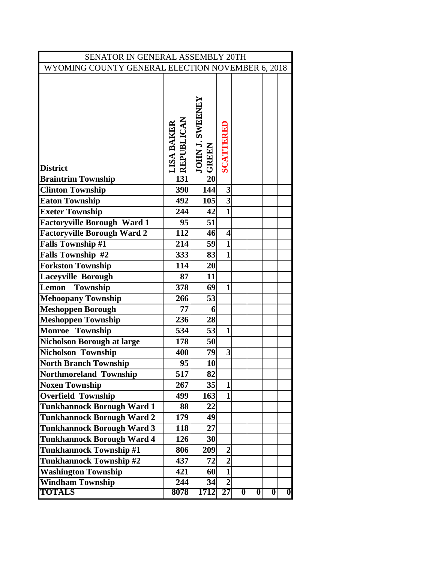| SENATOR IN GENERAL ASSEMBLY 20TH                 |                                  |                                  |                         |   |                  |                  |                         |  |  |  |  |  |  |
|--------------------------------------------------|----------------------------------|----------------------------------|-------------------------|---|------------------|------------------|-------------------------|--|--|--|--|--|--|
| WYOMING COUNTY GENERAL ELECTION NOVEMBER 6, 2018 |                                  |                                  |                         |   |                  |                  |                         |  |  |  |  |  |  |
| <b>District</b>                                  | <b>LISA BAKER<br/>REPUBLICAN</b> | <b>JOHN J. SWEENEY<br/>GREEN</b> | SCATTERED               |   |                  |                  |                         |  |  |  |  |  |  |
| <b>Braintrim Township</b>                        | 131                              | $\overline{20}$                  |                         |   |                  |                  |                         |  |  |  |  |  |  |
| <b>Clinton Township</b>                          | 390                              | 144                              | $\mathbf{3}$            |   |                  |                  |                         |  |  |  |  |  |  |
| <b>Eaton Township</b>                            | 492                              | 105                              | 3                       |   |                  |                  |                         |  |  |  |  |  |  |
| <b>Exeter Township</b>                           | 244                              | 42                               | $\mathbf{1}$            |   |                  |                  |                         |  |  |  |  |  |  |
| <b>Factoryville Borough Ward 1</b>               | 95                               | 51                               |                         |   |                  |                  |                         |  |  |  |  |  |  |
| <b>Factoryville Borough Ward 2</b>               | 112                              | 46                               | $\overline{\mathbf{4}}$ |   |                  |                  |                         |  |  |  |  |  |  |
| <b>Falls Township #1</b>                         | 214                              | 59                               | $\mathbf{1}$            |   |                  |                  |                         |  |  |  |  |  |  |
| Falls Township #2                                | 333                              | 83                               | $\mathbf{1}$            |   |                  |                  |                         |  |  |  |  |  |  |
| <b>Forkston Township</b>                         | 114                              | 20                               |                         |   |                  |                  |                         |  |  |  |  |  |  |
| <b>Laceyville Borough</b>                        | 87                               | 11                               |                         |   |                  |                  |                         |  |  |  |  |  |  |
| Township<br>Lemon                                | $\overline{3}$ 78                | 69                               | $\mathbf{1}$            |   |                  |                  |                         |  |  |  |  |  |  |
| <b>Mehoopany Township</b>                        | 266                              | 53                               |                         |   |                  |                  |                         |  |  |  |  |  |  |
| <b>Meshoppen Borough</b>                         | 77                               | 6                                |                         |   |                  |                  |                         |  |  |  |  |  |  |
| <b>Meshoppen Township</b>                        | 236                              | 28                               |                         |   |                  |                  |                         |  |  |  |  |  |  |
| Monroe Township                                  | 534                              | 53                               | $\mathbf{1}$            |   |                  |                  |                         |  |  |  |  |  |  |
| <b>Nicholson Borough at large</b>                | 178                              | 50                               |                         |   |                  |                  |                         |  |  |  |  |  |  |
| Nicholson Township                               | 400                              | 79                               | 3                       |   |                  |                  |                         |  |  |  |  |  |  |
| <b>North Branch Township</b>                     | 95                               | 10                               |                         |   |                  |                  |                         |  |  |  |  |  |  |
| <b>Northmoreland Township</b>                    | 517                              | 82                               |                         |   |                  |                  |                         |  |  |  |  |  |  |
| <b>Noxen Township</b>                            | 267                              | 35                               | $\mathbf{1}$            |   |                  |                  |                         |  |  |  |  |  |  |
| <b>Overfield Township</b>                        | 499                              | 163                              | $\mathbf{1}$            |   |                  |                  |                         |  |  |  |  |  |  |
| <b>Tunkhannock Borough Ward 1</b>                | 88                               | 22                               |                         |   |                  |                  |                         |  |  |  |  |  |  |
| <b>Tunkhannock Borough Ward 2</b>                | 179                              | 49                               |                         |   |                  |                  |                         |  |  |  |  |  |  |
| <b>Tunkhannock Borough Ward 3</b>                | 118                              | 27                               |                         |   |                  |                  |                         |  |  |  |  |  |  |
| <b>Tunkhannock Borough Ward 4</b>                | 126                              | 30                               |                         |   |                  |                  |                         |  |  |  |  |  |  |
| <b>Tunkhannock Township #1</b>                   | 806                              | 209                              | $\overline{2}$          |   |                  |                  |                         |  |  |  |  |  |  |
| <b>Tunkhannock Township #2</b>                   | 437                              | 72                               | $\overline{2}$          |   |                  |                  |                         |  |  |  |  |  |  |
| <b>Washington Township</b>                       | 421                              | 60                               | $\mathbf{1}$            |   |                  |                  |                         |  |  |  |  |  |  |
| <b>Windham Township</b>                          | 244                              | 34                               | $\overline{2}$          |   |                  |                  |                         |  |  |  |  |  |  |
| <b>TOTALS</b>                                    | 8078                             | 1712                             | $\overline{27}$         | 0 | $\boldsymbol{0}$ | $\boldsymbol{0}$ | $\overline{\mathbf{0}}$ |  |  |  |  |  |  |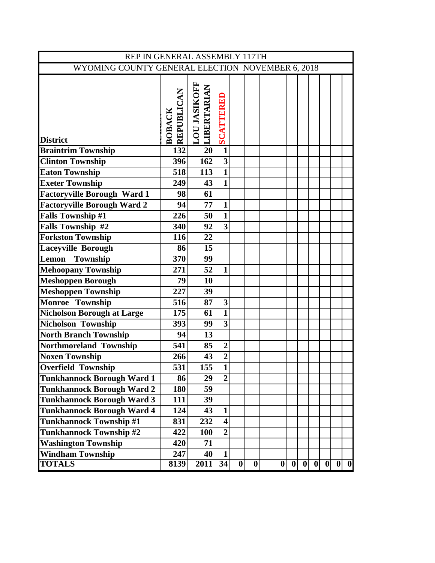| REP IN GENERAL ASSEMBLY 117TH                    |                      |                              |                         |                         |                  |   |   |   |   |   |   |                         |  |
|--------------------------------------------------|----------------------|------------------------------|-------------------------|-------------------------|------------------|---|---|---|---|---|---|-------------------------|--|
| WYOMING COUNTY GENERAL ELECTION NOVEMBER 6, 2018 |                      |                              |                         |                         |                  |   |   |   |   |   |   |                         |  |
| <b>District</b>                                  | REPUBLICAN<br>BOBACK | LOU JASIKOFF<br> LIBERTARIAN | SCATTERED               |                         |                  |   |   |   |   |   |   |                         |  |
| <b>Braintrim Township</b>                        | 132                  | $\overline{20}$              | $\overline{\mathbf{1}}$ |                         |                  |   |   |   |   |   |   |                         |  |
| <b>Clinton Township</b>                          | 396                  | 162                          | $\overline{\mathbf{3}}$ |                         |                  |   |   |   |   |   |   |                         |  |
| <b>Eaton Township</b>                            | 518                  | 113                          | $\overline{\mathbf{1}}$ |                         |                  |   |   |   |   |   |   |                         |  |
| <b>Exeter Township</b>                           | 249                  | 43                           | $\mathbf{1}$            |                         |                  |   |   |   |   |   |   |                         |  |
| <b>Factoryville Borough Ward 1</b>               | 98                   | 61                           |                         |                         |                  |   |   |   |   |   |   |                         |  |
| Factoryville Borough Ward 2                      | 94                   | 77                           | $\mathbf{1}$            |                         |                  |   |   |   |   |   |   |                         |  |
| <b>Falls Township #1</b>                         | 226                  | 50                           | $\overline{\mathbf{1}}$ |                         |                  |   |   |   |   |   |   |                         |  |
| Falls Township #2                                | 340                  | 92                           | $\overline{\mathbf{3}}$ |                         |                  |   |   |   |   |   |   |                         |  |
| <b>Forkston Township</b>                         | 116                  | 22                           |                         |                         |                  |   |   |   |   |   |   |                         |  |
| Laceyville Borough                               | 86                   | 15                           |                         |                         |                  |   |   |   |   |   |   |                         |  |
| <b>Township</b><br>Lemon                         | 370                  | 99                           |                         |                         |                  |   |   |   |   |   |   |                         |  |
| <b>Mehoopany Township</b>                        | 271                  | 52                           | $\mathbf{1}$            |                         |                  |   |   |   |   |   |   |                         |  |
| <b>Meshoppen Borough</b>                         | 79                   | 10                           |                         |                         |                  |   |   |   |   |   |   |                         |  |
| <b>Meshoppen Township</b>                        | 227                  | 39                           |                         |                         |                  |   |   |   |   |   |   |                         |  |
| Monroe Township                                  | 516                  | 87                           | $\overline{\mathbf{3}}$ |                         |                  |   |   |   |   |   |   |                         |  |
| <b>Nicholson Borough at Large</b>                | 175                  | 61                           | $\overline{\mathbf{1}}$ |                         |                  |   |   |   |   |   |   |                         |  |
| <b>Nicholson Township</b>                        | 393                  | 99                           | $\overline{\mathbf{3}}$ |                         |                  |   |   |   |   |   |   |                         |  |
| <b>North Branch Township</b>                     | 94                   | 13                           |                         |                         |                  |   |   |   |   |   |   |                         |  |
| Northmoreland Township                           | 541                  | 85                           | $\overline{2}$          |                         |                  |   |   |   |   |   |   |                         |  |
| <b>Noxen Township</b>                            | 266                  | 43                           | $\overline{2}$          |                         |                  |   |   |   |   |   |   |                         |  |
| <b>Overfield Township</b>                        | 531                  | 155                          | $\overline{\mathbf{1}}$ |                         |                  |   |   |   |   |   |   |                         |  |
| <b>Tunkhannock Borough Ward 1</b>                | 86                   | 29                           | $\overline{2}$          |                         |                  |   |   |   |   |   |   |                         |  |
| <b>Tunkhannock Borough Ward 2</b>                | <b>180</b>           | 59                           |                         |                         |                  |   |   |   |   |   |   |                         |  |
| <b>Tunkhannock Borough Ward 3</b>                | 111                  | 39                           |                         |                         |                  |   |   |   |   |   |   |                         |  |
| <b>Tunkhannock Borough Ward 4</b>                | 124                  | 43                           | $\mathbf{1}$            |                         |                  |   |   |   |   |   |   |                         |  |
| <b>Tunkhannock Township #1</b>                   | 831                  | 232                          | $\overline{\mathbf{4}}$ |                         |                  |   |   |   |   |   |   |                         |  |
| <b>Tunkhannock Township #2</b>                   | 422                  | <b>100</b>                   | $\overline{2}$          |                         |                  |   |   |   |   |   |   |                         |  |
| <b>Washington Township</b>                       | 420                  | 71                           |                         |                         |                  |   |   |   |   |   |   |                         |  |
| <b>Windham Township</b>                          | 247                  | 40                           | $\mathbf{1}$            |                         |                  |   |   |   |   |   |   |                         |  |
| <b>TOTALS</b>                                    | 8139                 | 2011                         | 34                      | $\overline{\mathbf{0}}$ | $\boldsymbol{0}$ | 0 | 0 | 0 | 0 | 0 | 0 | $\overline{\mathbf{0}}$ |  |